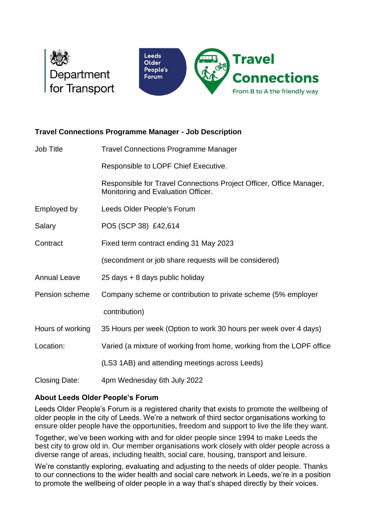



## **Travel Connections Programme Manager - Job Description**

| Job Title            | <b>Travel Connections Programme Manager</b>                                                               |
|----------------------|-----------------------------------------------------------------------------------------------------------|
|                      | Responsible to LOPF Chief Executive.                                                                      |
|                      | Responsible for Travel Connections Project Officer, Office Manager,<br>Monitoring and Evaluation Officer. |
| Employed by          | Leeds Older People's Forum                                                                                |
| Salary               | PO5 (SCP 38) £42,614                                                                                      |
| Contract             | Fixed term contract ending 31 May 2023                                                                    |
|                      | (secondment or job share requests will be considered)                                                     |
| <b>Annual Leave</b>  | 25 days + 8 days public holiday                                                                           |
| Pension scheme       | Company scheme or contribution to private scheme (5% employer                                             |
|                      | contribution)                                                                                             |
| Hours of working     | 35 Hours per week (Option to work 30 hours per week over 4 days)                                          |
| Location:            | Varied (a mixture of working from home, working from the LOPF office                                      |
|                      | (LS3 1AB) and attending meetings across Leeds)                                                            |
| <b>Closing Date:</b> | 4pm Wednesday 6th July 2022                                                                               |

## **About Leeds Older People's Forum**

Leeds Older People's Forum is a registered charity that exists to promote the wellbeing of older people in the city of Leeds. We're a network of third sector organisations working to ensure older people have the opportunities, freedom and support to live the life they want.

Together, we've been working with and for older people since 1994 to make Leeds the best city to grow old in. Our member organisations work closely with older people across a diverse range of areas, including health, social care, housing, transport and leisure.

We're constantly exploring, evaluating and adjusting to the needs of older people. Thanks to our connections to the wider health and social care network in Leeds, we're in a position to promote the wellbeing of older people in a way that's shaped directly by their voices.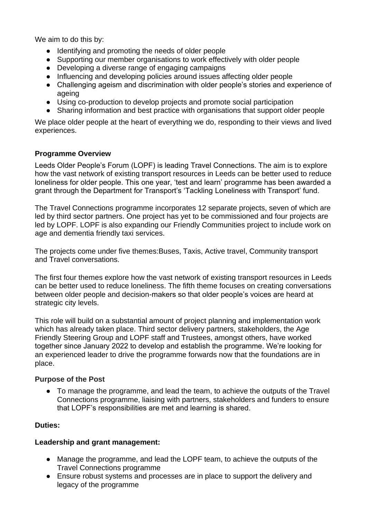We aim to do this by:

- Identifying and promoting the needs of older people
- Supporting our member organisations to work effectively with older people
- Developing a diverse range of engaging campaigns
- Influencing and developing policies around issues affecting older people
- Challenging ageism and discrimination with older people's stories and experience of ageing
- Using co-production to develop projects and promote social participation
- Sharing information and best practice with organisations that support older people

We place older people at the heart of everything we do, responding to their views and lived experiences.

### **Programme Overview**

Leeds Older People's Forum (LOPF) is leading Travel Connections. The aim is to explore how the vast network of existing transport resources in Leeds can be better used to reduce loneliness for older people. This one year, 'test and learn' programme has been awarded a grant through the Department for Transport's 'Tackling Loneliness with Transport' fund.

The Travel Connections programme incorporates 12 separate projects, seven of which are led by third sector partners. One project has yet to be commissioned and four projects are led by LOPF. LOPF is also expanding our Friendly Communities project to include work on age and dementia friendly taxi services.

The projects come under five themes:Buses, Taxis, Active travel, Community transport and Travel conversations.

The first four themes explore how the vast network of existing transport resources in Leeds can be better used to reduce loneliness. The fifth theme focuses on creating conversations between older people and decision-makers so that older people's voices are heard at strategic city levels.

This role will build on a substantial amount of project planning and implementation work which has already taken place. Third sector delivery partners, stakeholders, the Age Friendly Steering Group and LOPF staff and Trustees, amongst others, have worked together since January 2022 to develop and establish the programme. We're looking for an experienced leader to drive the programme forwards now that the foundations are in place.

#### **Purpose of the Post**

● To manage the programme, and lead the team, to achieve the outputs of the Travel Connections programme, liaising with partners, stakeholders and funders to ensure that LOPF's responsibilities are met and learning is shared.

#### **Duties:**

#### **Leadership and grant management:**

- Manage the programme, and lead the LOPF team, to achieve the outputs of the Travel Connections programme
- Ensure robust systems and processes are in place to support the delivery and legacy of the programme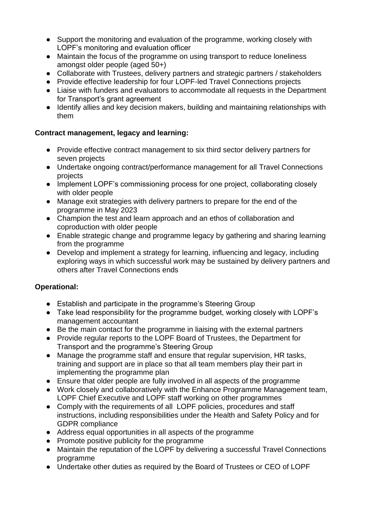- Support the monitoring and evaluation of the programme, working closely with LOPF's monitoring and evaluation officer
- Maintain the focus of the programme on using transport to reduce loneliness amongst older people (aged 50+)
- Collaborate with Trustees, delivery partners and strategic partners / stakeholders
- Provide effective leadership for four LOPF-led Travel Connections projects
- Liaise with funders and evaluators to accommodate all requests in the Department for Transport's grant agreement
- Identify allies and key decision makers, building and maintaining relationships with them

## **Contract management, legacy and learning:**

- Provide effective contract management to six third sector delivery partners for seven projects
- Undertake ongoing contract/performance management for all Travel Connections projects
- Implement LOPF's commissioning process for one project, collaborating closely with older people
- Manage exit strategies with delivery partners to prepare for the end of the programme in May 2023
- Champion the test and learn approach and an ethos of collaboration and coproduction with older people
- Enable strategic change and programme legacy by gathering and sharing learning from the programme
- Develop and implement a strategy for learning, influencing and legacy, including exploring ways in which successful work may be sustained by delivery partners and others after Travel Connections ends

# **Operational:**

- Establish and participate in the programme's Steering Group
- Take lead responsibility for the programme budget, working closely with LOPF's management accountant
- Be the main contact for the programme in liaising with the external partners
- Provide regular reports to the LOPF Board of Trustees, the Department for Transport and the programme's Steering Group
- Manage the programme staff and ensure that regular supervision, HR tasks, training and support are in place so that all team members play their part in implementing the programme plan
- Ensure that older people are fully involved in all aspects of the programme
- Work closely and collaboratively with the Enhance Programme Management team, LOPF Chief Executive and LOPF staff working on other programmes
- Comply with the requirements of all LOPF policies, procedures and staff instructions, including responsibilities under the Health and Safety Policy and for GDPR compliance
- Address equal opportunities in all aspects of the programme
- Promote positive publicity for the programme
- Maintain the reputation of the LOPF by delivering a successful Travel Connections programme
- Undertake other duties as required by the Board of Trustees or CEO of LOPF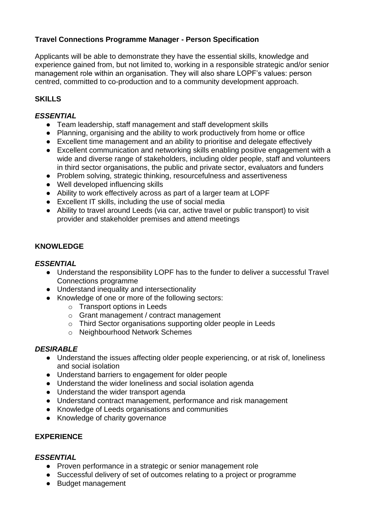# **Travel Connections Programme Manager - Person Specification**

Applicants will be able to demonstrate they have the essential skills, knowledge and experience gained from, but not limited to, working in a responsible strategic and/or senior management role within an organisation. They will also share LOPF's values: person centred, committed to co-production and to a community development approach.

## **SKILLS**

#### *ESSENTIAL*

- Team leadership, staff management and staff development skills
- Planning, organising and the ability to work productively from home or office
- Excellent time management and an ability to prioritise and delegate effectively
- Excellent communication and networking skills enabling positive engagement with a wide and diverse range of stakeholders, including older people, staff and volunteers in third sector organisations, the public and private sector, evaluators and funders
- Problem solving, strategic thinking, resourcefulness and assertiveness
- Well developed influencing skills
- Ability to work effectively across as part of a larger team at LOPF
- Excellent IT skills, including the use of social media
- Ability to travel around Leeds (via car, active travel or public transport) to visit provider and stakeholder premises and attend meetings

### **KNOWLEDGE**

#### *ESSENTIAL*

- Understand the responsibility LOPF has to the funder to deliver a successful Travel Connections programme
- Understand inequality and intersectionality
- Knowledge of one or more of the following sectors:
	- o Transport options in Leeds
	- o Grant management / contract management
	- o Third Sector organisations supporting older people in Leeds
	- o Neighbourhood Network Schemes

## *DESIRABLE*

- Understand the issues affecting older people experiencing, or at risk of, loneliness and social isolation
- Understand barriers to engagement for older people
- Understand the wider loneliness and social isolation agenda
- Understand the wider transport agenda
- Understand contract management, performance and risk management
- Knowledge of Leeds organisations and communities
- Knowledge of charity governance

## **EXPERIENCE**

#### *ESSENTIAL*

- Proven performance in a strategic or senior management role
- Successful delivery of set of outcomes relating to a project or programme
- Budget management